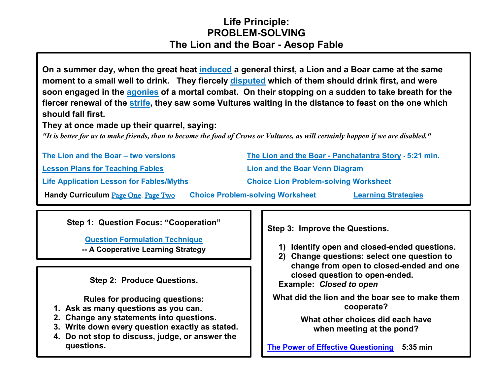## **Life Principle: PROBLEM-SOLVING The Lion and the Boar - Aesop Fable**

**On a summer day, when the great heat [induced](https://www.merriam-webster.com/dictionary/induced) a general thirst, a Lion and a Boar came at the same moment to a small well to drink. They fiercely [disputed](https://www.merriam-webster.com/dictionary/disputed) which of them should drink first, and were soon engaged in the [agonies](https://www.merriam-webster.com/dictionary/agonies) of a mortal combat. On their stopping on a sudden to take breath for the fiercer renewal of the [strife,](https://www.merriam-webster.com/dictionary/strife) they saw some Vultures waiting in the distance to feast on the one which should fall first.**

**They at once made up their quarrel, saying:**

*"It is better for us to make friends, than to become the food of Crows or Vultures, as will certainly happen if we are disabled."*

| The Lion and the Boar - two versions            |                                              | The Lion and the Boar - Panchatantra Story - 5:21 min. |  |
|-------------------------------------------------|----------------------------------------------|--------------------------------------------------------|--|
| <b>Lesson Plans for Teaching Fables</b>         |                                              | Lion and the Boar Venn Diagram                         |  |
| <b>Life Application Lesson for Fables/Myths</b> | <b>Choice Lion Problem-solving Worksheet</b> |                                                        |  |
| Handy Curriculum Page One, Page Two             | <b>Choice Problem-solving Worksheet</b>      | <b>Learning Strategies</b>                             |  |

**Step 1: Question Focus: "Cooperation"**

**[Question Formulation Technique](http://www.greatexpectations.org/the-question-formulation-technique) -- A Cooperative Learning Strategy**

**Step 2: Produce Questions.**

**Rules for producing questions:**

- **1. Ask as many questions as you can.**
- **2. Change any statements into questions.**
- **3. Write down every question exactly as stated.**
- **4. Do not stop to discuss, judge, or answer the questions.**

**Step 3: Improve the Questions.**

- **1) Identify open and closed-ended questions.**
- **2) Change questions: select one question to change from open to closed-ended and one closed question to open-ended.**

**Example:** *Closed to open*

**What did the lion and the boar see to make them cooperate?** 

> **What other choices did each have when meeting at the pond?**

**[The Power of Effective Questioning](https://www.youtube.com/watch?v=1dO0dO__wmE) 5:35 min**